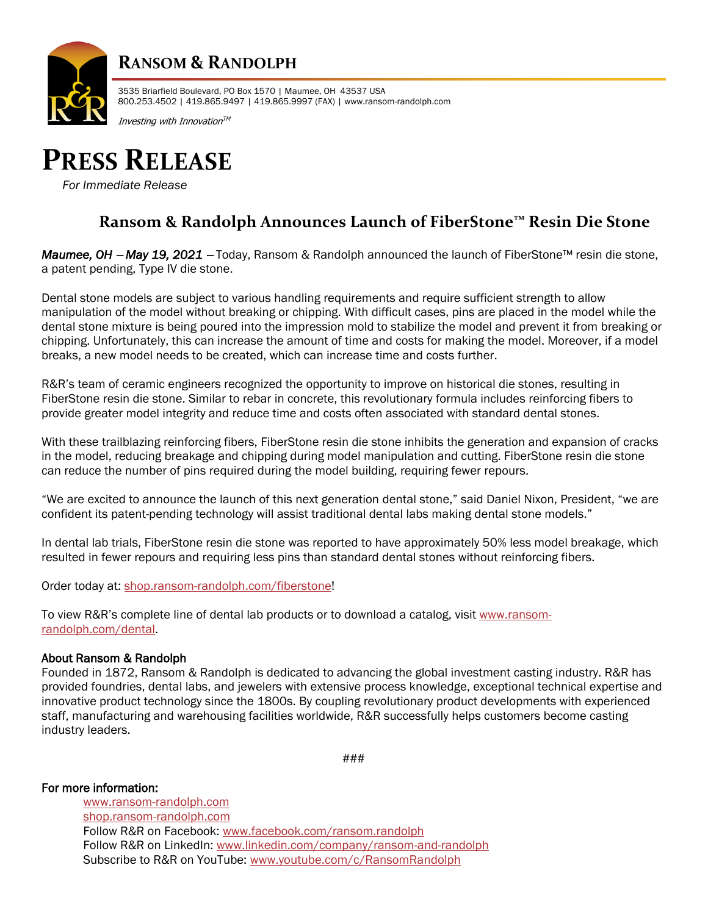

## **RANSOM & RANDOLPH**

3535 Briarfield Boulevard, PO Box 1570 | Maumee, OH 43537 USA 800.253.4502 | 419.865.9497 | 419.865.9997 (FAX) | www.ransom-randolph.com

Investing with Innovation™



*For Immediate Release*

### **Ransom & Randolph Announces Launch of FiberStone™ Resin Die Stone**

*Maumee, OH* − *May 19, 2021* <sup>−</sup> Today, Ransom & Randolph announced the launch of FiberStone™ resin die stone, a patent pending, Type IV die stone.

Dental stone models are subject to various handling requirements and require sufficient strength to allow manipulation of the model without breaking or chipping. With difficult cases, pins are placed in the model while the dental stone mixture is being poured into the impression mold to stabilize the model and prevent it from breaking or chipping. Unfortunately, this can increase the amount of time and costs for making the model. Moreover, if a model breaks, a new model needs to be created, which can increase time and costs further.

R&R's team of ceramic engineers recognized the opportunity to improve on historical die stones, resulting in FiberStone resin die stone. Similar to rebar in concrete, this revolutionary formula includes reinforcing fibers to provide greater model integrity and reduce time and costs often associated with standard dental stones.

With these trailblazing reinforcing fibers, FiberStone resin die stone inhibits the generation and expansion of cracks in the model, reducing breakage and chipping during model manipulation and cutting. FiberStone resin die stone can reduce the number of pins required during the model building, requiring fewer repours.

"We are excited to announce the launch of this next generation dental stone," said Daniel Nixon, President, "we are confident its patent-pending technology will assist traditional dental labs making dental stone models."

In dental lab trials, FiberStone resin die stone was reported to have approximately 50% less model breakage, which resulted in fewer repours and requiring less pins than standard dental stones without reinforcing fibers.

Order today at: [shop.ransom-randolph.com/fiberstone!](https://shop.ransom-randolph.com/fiberstone)

To view R&R's complete line of dental lab products or to download a catalog, visit [www.ransom](http://www.ransom-randolph.com/dental)[randolph.com/dental.](http://www.ransom-randolph.com/dental) 

#### About Ransom & Randolph

Founded in 1872, Ransom & Randolph is dedicated to advancing the global investment casting industry. R&R has provided foundries, dental labs, and jewelers with extensive process knowledge, exceptional technical expertise and innovative product technology since the 1800s. By coupling revolutionary product developments with experienced staff, manufacturing and warehousing facilities worldwide, R&R successfully helps customers become casting industry leaders.

###

For more information:

[www.ransom-randolph.com](http://www.ransom-randolph.com/) [shop.ransom-randolph.com](https://shop.ransom-randolph.com/) Follow R&R on Facebook: [www.facebook.com/ransom.randolph](http://www.facebook.com/ransom.randolph) Follow R&R on LinkedIn: [www.linkedin.com/company/ransom-and-randolph](http://www.linkedin.com/company/ransom-and-randolph) Subscribe to R&R on YouTube: [www.youtube.com/c/RansomRandolph](http://www.youtube.com/c/RansomRandolph)